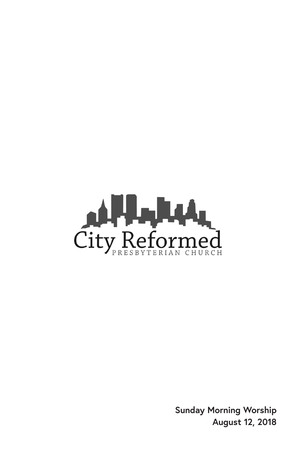

**Sunday Morning Worship August 12, 2018**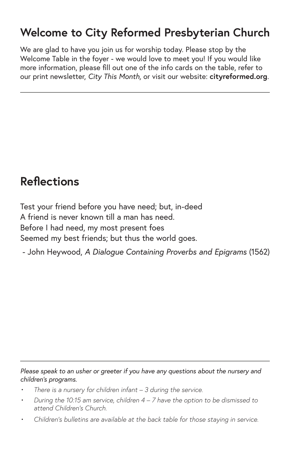### **Welcome to City Reformed Presbyterian Church**

We are glad to have you join us for worship today. Please stop by the Welcome Table in the foyer - we would love to meet you! If you would like more information, please fill out one of the info cards on the table, refer to our print newsletter, *City This Month,* or visit our website: **cityreformed.org**.

### **Reflections**

Test your friend before you have need; but, in-deed A friend is never known till a man has need. Before I had need, my most present foes Seemed my best friends; but thus the world goes.

- John Heywood, *A Dialogue Containing Proverbs and Epigrams* (1562)

*Please speak to an usher or greeter if you have any questions about the nursery and children's programs.*

- *• There is a nursery for children infant 3 during the service.*
- *• During the 10:15 am service, children 4 7 have the option to be dismissed to attend Children's Church.*
- *• Children's bulletins are available at the back table for those staying in service.*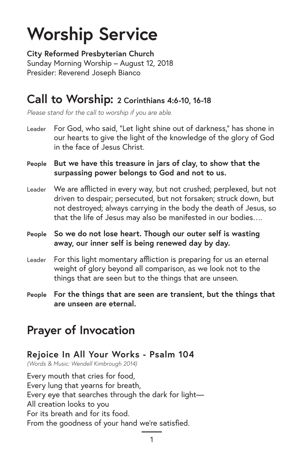# **Worship Service**

**City Reformed Presbyterian Church** Sunday Morning Worship – August 12, 2018 Presider: Reverend Joseph Bianco

#### **Call to Worship: 2 Corinthians 4:6-10, 16-18**

*Please stand for the call to worship if you are able.*

- Leader For God, who said, "Let light shine out of darkness," has shone in our hearts to give the light of the knowledge of the glory of God in the face of Jesus Christ.
- **People But we have this treasure in jars of clay, to show that the surpassing power belongs to God and not to us.**
- Leader We are afflicted in every way, but not crushed; perplexed, but not driven to despair; persecuted, but not forsaken; struck down, but not destroyed; always carrying in the body the death of Jesus, so that the life of Jesus may also be manifested in our bodies….
- **People So we do not lose heart. Though our outer self is wasting away, our inner self is being renewed day by day.**
- Leader For this light momentary affliction is preparing for us an eternal weight of glory beyond all comparison, as we look not to the things that are seen but to the things that are unseen.
- **People For the things that are seen are transient, but the things that are unseen are eternal.**

### **Prayer of Invocation**

#### **Rejoice In All Your Works - Psalm 104**

*(Words & Music: Wendell Kimbrough 2014)*

Every mouth that cries for food, Every lung that yearns for breath, Every eye that searches through the dark for light— All creation looks to you For its breath and for its food. From the goodness of your hand we're satisfied.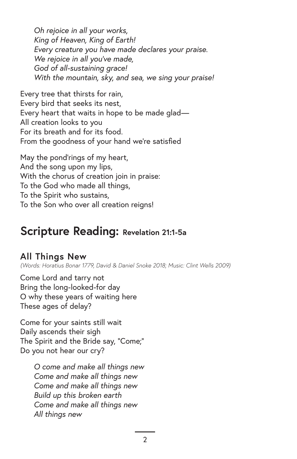*Oh rejoice in all your works, King of Heaven, King of Earth! Every creature you have made declares your praise. We rejoice in all you've made, God of all-sustaining grace! With the mountain, sky, and sea, we sing your praise!* 

Every tree that thirsts for rain, Every bird that seeks its nest, Every heart that waits in hope to be made glad— All creation looks to you For its breath and for its food. From the goodness of your hand we're satisfied

May the pond'rings of my heart, And the song upon my lips, With the chorus of creation join in praise: To the God who made all things, To the Spirit who sustains, To the Son who over all creation reigns!

### **Scripture Reading: Revelation 21:1-5a**

#### **All Things New**

*(Words: Horatius Bonar 1779, David & Daniel Snoke 2018; Music: Clint Wells 2009)*

Come Lord and tarry not Bring the long-looked-for day O why these years of waiting here These ages of delay?

Come for your saints still wait Daily ascends their sigh The Spirit and the Bride say, "Come;" Do you not hear our cry?

> *O come and make all things new Come and make all things new Come and make all things new Build up this broken earth Come and make all things new All things new*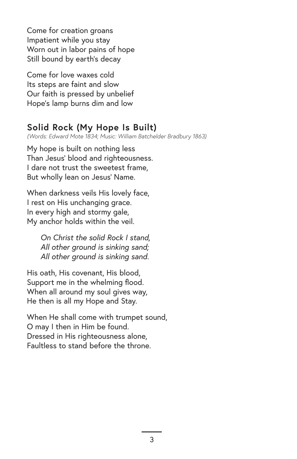Come for creation groans Impatient while you stay Worn out in labor pains of hope Still bound by earth's decay

Come for love waxes cold Its steps are faint and slow Our faith is pressed by unbelief Hope's lamp burns dim and low

#### **Solid Rock (My Hope Is Built)**

*(Words: Edward Mote 1834; Music: William Batchelder Bradbury 1863)*

My hope is built on nothing less Than Jesus' blood and righteousness. I dare not trust the sweetest frame, But wholly lean on Jesus' Name.

When darkness veils His lovely face, I rest on His unchanging grace. In every high and stormy gale, My anchor holds within the veil.

> *On Christ the solid Rock I stand, All other ground is sinking sand; All other ground is sinking sand.*

His oath, His covenant, His blood, Support me in the whelming flood. When all around my soul gives way, He then is all my Hope and Stay.

When He shall come with trumpet sound, O may I then in Him be found. Dressed in His righteousness alone, Faultless to stand before the throne.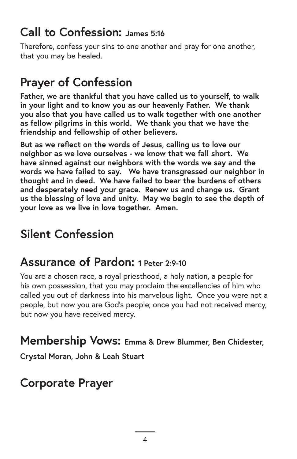### **Call to Confession: James 5:16**

Therefore, confess your sins to one another and pray for one another, that you may be healed.

# **Prayer of Confession**

**Father, we are thankful that you have called us to yourself, to walk in your light and to know you as our heavenly Father. We thank you also that you have called us to walk together with one another as fellow pilgrims in this world. We thank you that we have the friendship and fellowship of other believers.**

**But as we reflect on the words of Jesus, calling us to love our neighbor as we love ourselves - we know that we fall short. We have sinned against our neighbors with the words we say and the words we have failed to say. We have transgressed our neighbor in thought and in deed. We have failed to bear the burdens of others and desperately need your grace. Renew us and change us. Grant us the blessing of love and unity. May we begin to see the depth of your love as we live in love together. Amen.**

# **Silent Confession**

### **Assurance of Pardon: 1 Peter 2:9-10**

You are a chosen race, a royal priesthood, a holy nation, a people for his own possession, that you may proclaim the excellencies of him who called you out of darkness into his marvelous light. Once you were not a people, but now you are God's people; once you had not received mercy, but now you have received mercy.

#### **Membership Vows: Emma & Drew Blummer, Ben Chidester,**

**Crystal Moran, John & Leah Stuart**

# **Corporate Prayer**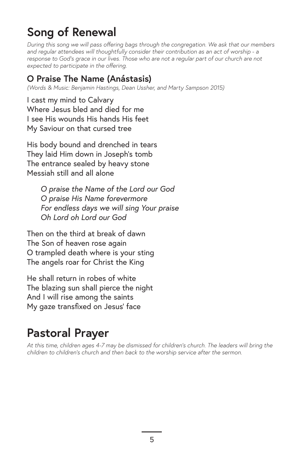## **Song of Renewal**

*During this song we will pass offering bags through the congregation. We ask that our members and regular attendees will thoughtfully consider their contribution as an act of worship - a*  response to God's grace in our lives. Those who are not a regular part of our church are not *expected to participate in the offering.*

#### **O Praise The Name (Anástasis)**

*(Words & Music: Benjamin Hastings, Dean Ussher, and Marty Sampson 2015)*

I cast my mind to Calvary Where Jesus bled and died for me I see His wounds His hands His feet My Saviour on that cursed tree

His body bound and drenched in tears They laid Him down in Joseph's tomb The entrance sealed by heavy stone Messiah still and all alone

> *O praise the Name of the Lord our God O praise His Name forevermore For endless days we will sing Your praise Oh Lord oh Lord our God*

Then on the third at break of dawn The Son of heaven rose again O trampled death where is your sting The angels roar for Christ the King

He shall return in robes of white The blazing sun shall pierce the night And I will rise among the saints My gaze transfixed on Jesus' face

# **Pastoral Prayer**

*At this time, children ages 4-7 may be dismissed for children's church. The leaders will bring the children to children's church and then back to the worship service after the sermon.*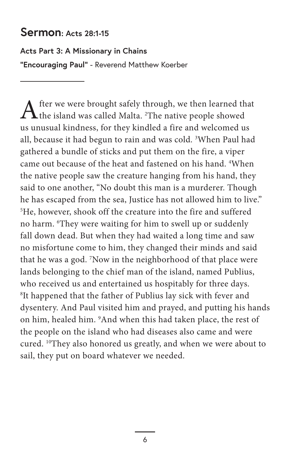#### **Sermon: Acts 28:1-15**

#### **Acts Part 3: A Missionary in Chains**

**"Encouraging Paul"** - Reverend Matthew Koerber

After we were brought safely through, we then learned that the island was called Malta. <sup>2</sup>The native people showed us unusual kindness, for they kindled a fire and welcomed us all, because it had begun to rain and was cold. <sup>3</sup> When Paul had gathered a bundle of sticks and put them on the fire, a viper came out because of the heat and fastened on his hand. <sup>4</sup> When the native people saw the creature hanging from his hand, they said to one another, "No doubt this man is a murderer. Though he has escaped from the sea, Justice has not allowed him to live." 5 He, however, shook off the creature into the fire and suffered no harm. <sup>6</sup> They were waiting for him to swell up or suddenly fall down dead. But when they had waited a long time and saw no misfortune come to him, they changed their minds and said that he was a god. <sup>7</sup> Now in the neighborhood of that place were lands belonging to the chief man of the island, named Publius, who received us and entertained us hospitably for three days. 8 It happened that the father of Publius lay sick with fever and dysentery. And Paul visited him and prayed, and putting his hands on him, healed him. <sup>9</sup>And when this had taken place, the rest of the people on the island who had diseases also came and were cured. 10They also honored us greatly, and when we were about to sail, they put on board whatever we needed.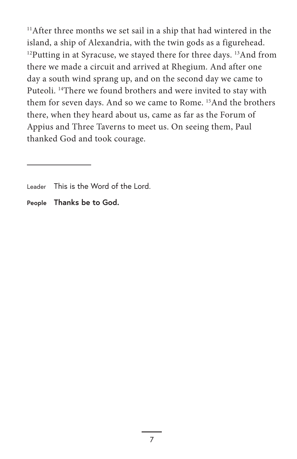11 After three months we set sail in a ship that had wintered in the island, a ship of Alexandria, with the twin gods as a figurehead.  $12$ Putting in at Syracuse, we stayed there for three days.  $13$ And from there we made a circuit and arrived at Rhegium. And after one day a south wind sprang up, and on the second day we came to Puteoli. <sup>14</sup>There we found brothers and were invited to stay with them for seven days. And so we came to Rome. 15And the brothers there, when they heard about us, came as far as the Forum of Appius and Three Taverns to meet us. On seeing them, Paul thanked God and took courage.

**People Thanks be to God.**

Leader This is the Word of the Lord.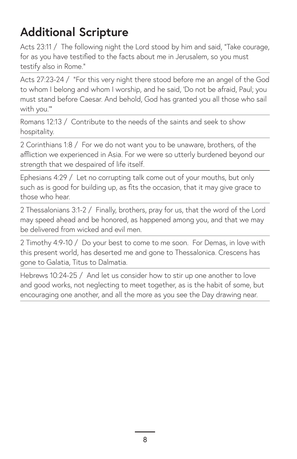# **Additional Scripture**

Acts 23:11 / The following night the Lord stood by him and said, "Take courage, for as you have testified to the facts about me in Jerusalem, so you must testify also in Rome."

Acts 27:23-24 / "For this very night there stood before me an angel of the God to whom I belong and whom I worship, and he said, 'Do not be afraid, Paul; you must stand before Caesar. And behold, God has granted you all those who sail with you.'"

Romans 12:13 / Contribute to the needs of the saints and seek to show hospitality.

2 Corinthians 1:8 / For we do not want you to be unaware, brothers, of the affliction we experienced in Asia. For we were so utterly burdened beyond our strength that we despaired of life itself.

Ephesians 4:29 / Let no corrupting talk come out of your mouths, but only such as is good for building up, as fits the occasion, that it may give grace to those who hear.

2 Thessalonians 3:1-2 / Finally, brothers, pray for us, that the word of the Lord may speed ahead and be honored, as happened among you, and that we may be delivered from wicked and evil men.

2 Timothy 4:9-10 / Do your best to come to me soon. For Demas, in love with this present world, has deserted me and gone to Thessalonica. Crescens has gone to Galatia, Titus to Dalmatia.

Hebrews 10:24-25 / And let us consider how to stir up one another to love and good works, not neglecting to meet together, as is the habit of some, but encouraging one another, and all the more as you see the Day drawing near.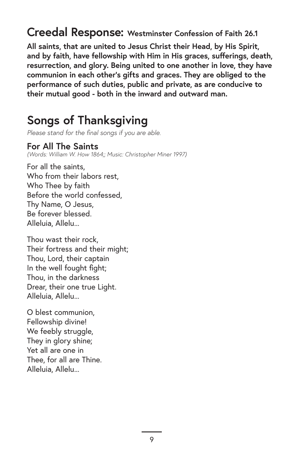**Creedal Response: Westminster Confession of Faith 26.1**

**All saints, that are united to Jesus Christ their Head, by His Spirit, and by faith, have fellowship with Him in His graces, sufferings, death, resurrection, and glory. Being united to one another in love, they have communion in each other's gifts and graces. They are obliged to the performance of such duties, public and private, as are conducive to their mutual good - both in the inward and outward man.**

### **Songs of Thanksgiving**

*Please stand for the final songs if you are able.*

#### **For All The Saints**

*(Words: William W. How 1864;; Music: Christopher Miner 1997)*

For all the saints, Who from their labors rest, Who Thee by faith Before the world confessed, Thy Name, O Jesus, Be forever blessed. Alleluia, Allelu...

Thou wast their rock, Their fortress and their might; Thou, Lord, their captain In the well fought fight; Thou, in the darkness Drear, their one true Light. Alleluia, Allelu...

O blest communion, Fellowship divine! We feebly struggle, They in glory shine; Yet all are one in Thee, for all are Thine. Alleluia, Allelu...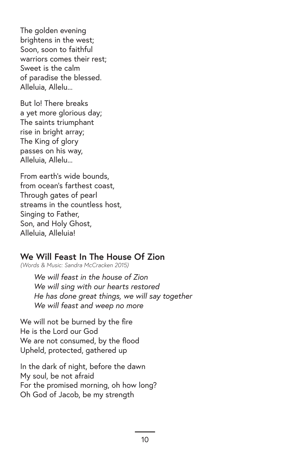The golden evening brightens in the west; Soon, soon to faithful warriors comes their rest; Sweet is the calm of paradise the blessed. Alleluia, Allelu...

But lo! There breaks a yet more glorious day; The saints triumphant rise in bright array; The King of glory passes on his way, Alleluia, Allelu...

From earth's wide bounds, from ocean's farthest coast, Through gates of pearl streams in the countless host, Singing to Father, Son, and Holy Ghost, Alleluia, Alleluia!

#### **We Will Feast In The House Of Zion**

*(Words & Music: Sandra McCracken 2015)*

*We will feast in the house of Zion We will sing with our hearts restored He has done great things, we will say together We will feast and weep no more*

We will not be burned by the fire He is the Lord our God We are not consumed, by the flood Upheld, protected, gathered up

In the dark of night, before the dawn My soul, be not afraid For the promised morning, oh how long? Oh God of Jacob, be my strength